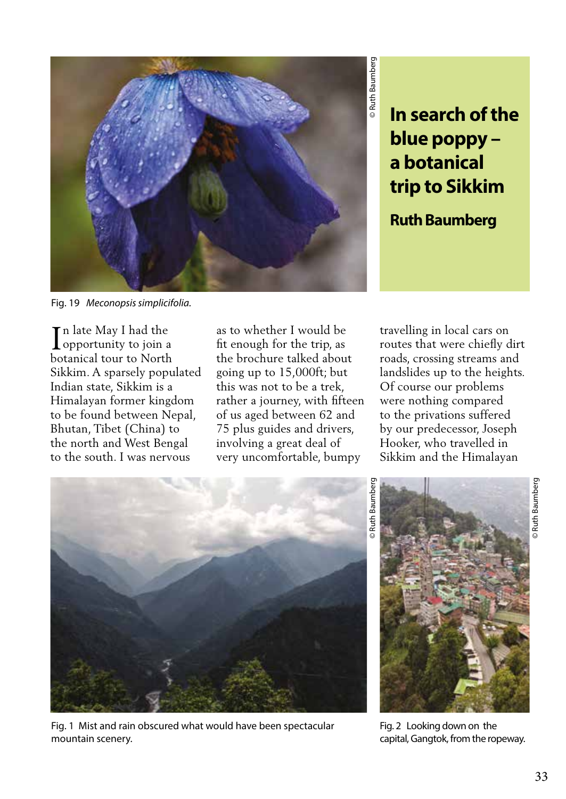

## **In search of the blue poppy – a botanical trip to Sikkim**

**Ruth Baumberg** 

Fig. 19 *Meconopsis simplicifolia.* 

n late May I had the  $\prod$ n late May I had the opportunity to join a botanical tour to North Sikkim. A sparsely populated Indian state, Sikkim is a Himalayan former kingdom to be found between Nepal, Bhutan, Tibet (China) to the north and West Bengal to the south. I was nervous

as to whether I would be fit enough for the trip, as the brochure talked about going up to 15,000ft; but this was not to be a trek, rather a journey, with fifteen of us aged between 62 and 75 plus guides and drivers, involving a great deal of very uncomfortable, bumpy

travelling in local cars on routes that were chiefly dirt roads, crossing streams and landslides up to the heights. Of course our problems were nothing compared to the privations suffered by our predecessor, Joseph Hooker, who travelled in Sikkim and the Himalayan



Fig. 1 Mist and rain obscured what would have been spectacular mountain scenery.



Fig. 2 Looking down on the capital, Gangtok, from the ropeway.

© Ruth Baumberg

**Buth Baumberg**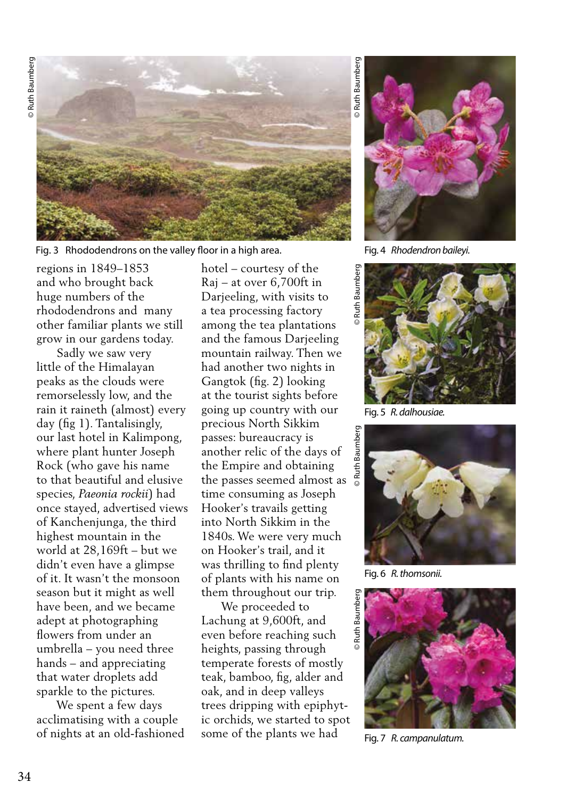

Fig. 3 Rhododendrons on the valley floor in a high area. Fig. 4 Rhodendron baileyi.

regions in 1849–1853 and who brought back huge numbers of the rhododendrons and many other familiar plants we still grow in our gardens today.

 Sadly we saw very little of the Himalayan peaks as the clouds were remorselessly low, and the rain it raineth (almost) every day (fig 1). Tantalisingly, our last hotel in Kalimpong, where plant hunter Joseph Rock (who gave his name to that beautiful and elusive species, *Paeonia rockii*) had once stayed, advertised views of Kanchenjunga, the third highest mountain in the world at 28,169ft – but we didn't even have a glimpse of it. It wasn't the monsoon season but it might as well have been, and we became adept at photographing flowers from under an umbrella – you need three hands – and appreciating that water droplets add sparkle to the pictures.

 We spent a few days acclimatising with a couple of nights at an old-fashioned hotel – courtesy of the Raj – at over 6,700ft in Darjeeling, with visits to a tea processing factory among the tea plantations and the famous Darjeeling mountain railway. Then we had another two nights in Gangtok (fig. 2) looking at the tourist sights before going up country with our precious North Sikkim passes: bureaucracy is another relic of the days of the Empire and obtaining the passes seemed almost as time consuming as Joseph Hooker's travails getting into North Sikkim in the 1840s. We were very much on Hooker's trail, and it was thrilling to find plenty of plants with his name on them throughout our trip.

 We proceeded to Lachung at 9,600ft, and even before reaching such heights, passing through temperate forests of mostly teak, bamboo, fig, alder and oak, and in deep valleys trees dripping with epiphytic orchids, we started to spot some of the plants we had



Fig. 5 *R. dalhousiae.*



Fig. 6 *R. thomsonii.*



Fig. 7 *R. campanulatum.*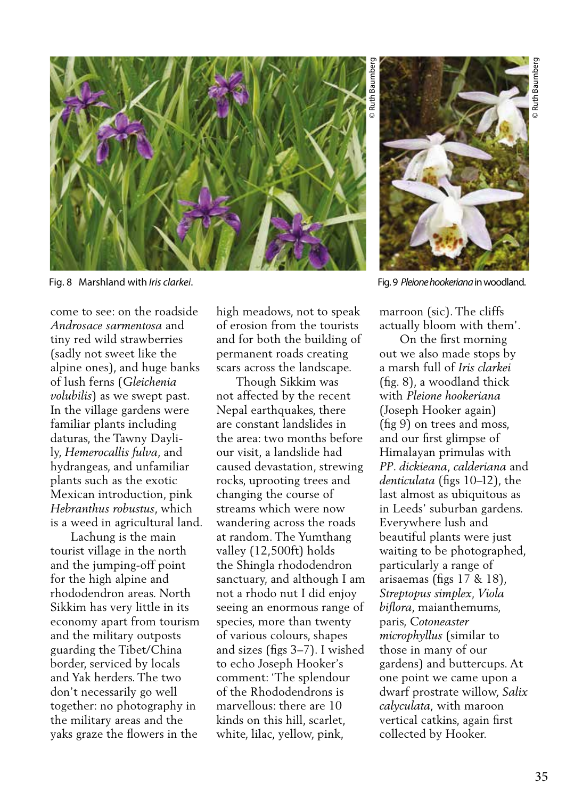

come to see: on the roadside *Androsace sarmentosa* and tiny red wild strawberries (sadly not sweet like the alpine ones), and huge banks of lush ferns (*Gleichenia volubilis*) as we swept past. In the village gardens were familiar plants including daturas, the Tawny Daylily, *Hemerocallis fulva*, and hydrangeas, and unfamiliar plants such as the exotic Mexican introduction, pink *Hebranthus robustus*, which is a weed in agricultural land.

 Lachung is the main tourist village in the north and the jumping-off point for the high alpine and rhododendron areas. North Sikkim has very little in its economy apart from tourism and the military outposts guarding the Tibet/China border, serviced by locals and Yak herders. The two don't necessarily go well together: no photography in the military areas and the yaks graze the flowers in the

high meadows, not to speak of erosion from the tourists and for both the building of permanent roads creating scars across the landscape.

 Though Sikkim was not affected by the recent Nepal earthquakes, there are constant landslides in the area: two months before our visit, a landslide had caused devastation, strewing rocks, uprooting trees and changing the course of streams which were now wandering across the roads at random. The Yumthang valley (12,500ft) holds the Shingla rhododendron sanctuary, and although I am not a rhodo nut I did enjoy seeing an enormous range of species, more than twenty of various colours, shapes and sizes (figs 3–7). I wished to echo Joseph Hooker's comment: 'The splendour of the Rhododendrons is marvellous: there are 10 kinds on this hill, scarlet, white, lilac, yellow, pink,

![](_page_2_Picture_7.jpeg)

marroon (sic). The cliffs actually bloom with them'.

 On the first morning out we also made stops by a marsh full of *Iris clarkei*  (fig. 8), a woodland thick with *Pleione hookeriana*  (Joseph Hooker again) (fig 9) on trees and moss, and our first glimpse of Himalayan primulas with *PP*. *dickieana, calderiana* and *denticulata* (figs 10–12), the last almost as ubiquitous as in Leeds' suburban gardens. Everywhere lush and beautiful plants were just waiting to be photographed, particularly a range of arisaemas (figs 17 & 18), *Streptopus simplex, Viola biflora*, maianthemums, paris, *Cotoneaster microphyllus* (similar to those in many of our gardens) and buttercups. At one point we came upon a dwarf prostrate willow, *Salix calyculata,* with maroon vertical catkins, again first collected by Hooker.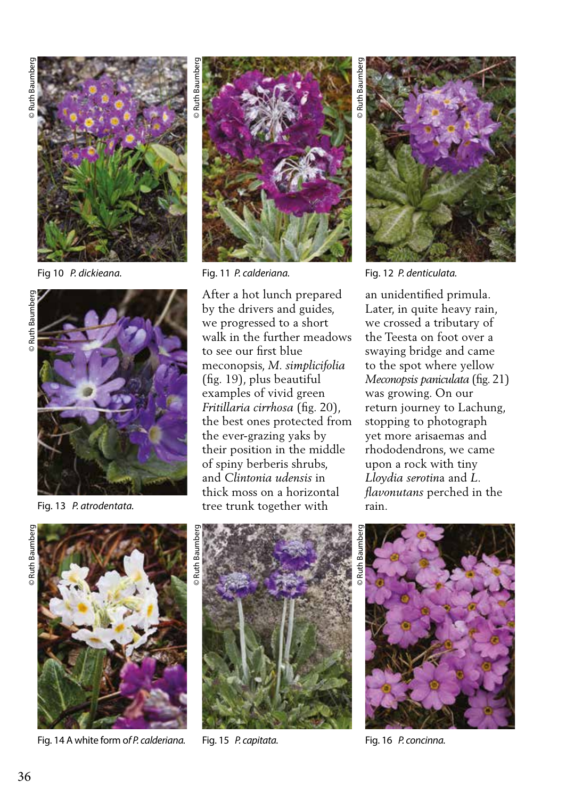![](_page_3_Picture_1.jpeg)

Fig 10 *P. dickieana.*

![](_page_3_Picture_4.jpeg)

Fig. 13 *P. atrodentata.*

![](_page_3_Picture_7.jpeg)

Fig. 14 A white form o*f P. calderiana.* Fig. 15 *P. capitata.* Fig. 16 *P. concinna.*

![](_page_3_Picture_9.jpeg)

After a hot lunch prepared by the drivers and guides, we progressed to a short walk in the further meadows to see our first blue meconopsis, *M. simplicifolia* (fig. 19), plus beautiful examples of vivid green *Fritillaria cirrhosa* (fig. 20), the best ones protected from the ever-grazing yaks by their position in the middle of spiny berberis shrubs, and *Clintonia udensis* in thick moss on a horizontal tree trunk together with

Ruth Baumber

![](_page_3_Picture_13.jpeg)

Fig. 11 *P. calderiana.* Fig. 12 *P. denticulata.*

an unidentified primula. Later, in quite heavy rain, we crossed a tributary of the Teesta on foot over a swaying bridge and came to the spot where yellow *Meconopsis paniculata* (fig. 21) was growing. On our return journey to Lachung, stopping to photograph yet more arisaemas and rhododendrons, we came upon a rock with tiny *Lloydia serotin*a and *L. flavonutans* perched in the rain.

![](_page_3_Picture_16.jpeg)

![](_page_3_Picture_18.jpeg)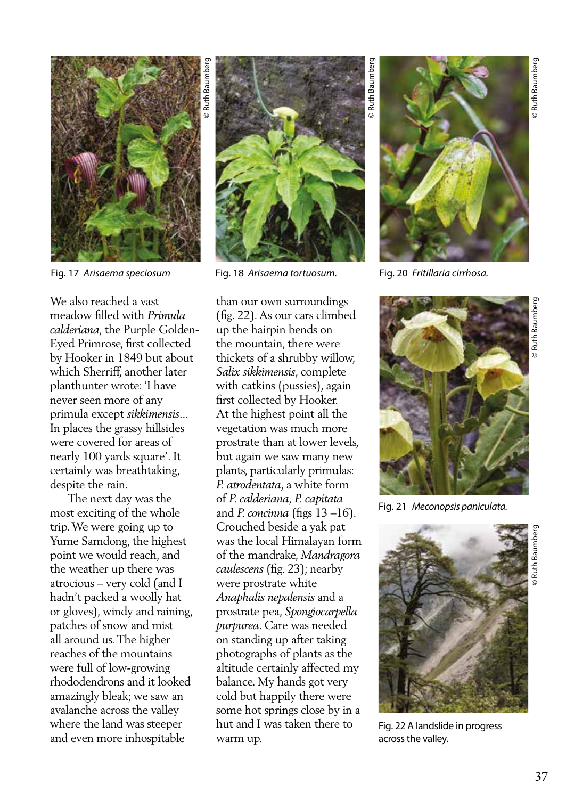![](_page_4_Picture_0.jpeg)

![](_page_4_Picture_1.jpeg)

We also reached a vast meadow filled with *Primula calderiana*, the Purple Golden-Eyed Primrose, first collected by Hooker in 1849 but about which Sherriff, another later planthunter wrote: 'I have never seen more of any primula except *sikkimensis*... In places the grassy hillsides were covered for areas of nearly 100 yards square'. It certainly was breathtaking, despite the rain.

 The next day was the most exciting of the whole trip. We were going up to Yume Samdong, the highest point we would reach, and the weather up there was atrocious – very cold (and I hadn't packed a woolly hat or gloves), windy and raining, patches of snow and mist all around us. The higher reaches of the mountains were full of low-growing rhododendrons and it looked amazingly bleak; we saw an avalanche across the valley where the land was steeper and even more inhospitable

![](_page_4_Picture_5.jpeg)

Fig. 17 *Arisaema speciosum* Fig. 20 *Fritillaria cirrhosa.* Fig. 18 *Arisaema tortuosum.*

than our own surroundings (fig. 22). As our cars climbed up the hairpin bends on the mountain, there were thickets of a shrubby willow, *Salix sikkimensis*, complete with catkins (pussies), again first collected by Hooker. At the highest point all the vegetation was much more prostrate than at lower levels, but again we saw many new plants, particularly primulas: *P. atrodentata*, a white form of *P. calderiana, P. capitata*  and *P. concinna* (figs 13 –16). Crouched beside a yak pat was the local Himalayan form of the mandrake, *Mandragora caulescens* (fig. 23); nearby were prostrate white *Anaphalis nepalensis* and a prostrate pea, *Spongiocarpella purpurea*. Care was needed on standing up after taking photographs of plants as the altitude certainly affected my balance. My hands got very cold but happily there were some hot springs close by in a hut and I was taken there to warm up.

© Ruth Baumberg

© Ruth Baumber

![](_page_4_Picture_9.jpeg)

![](_page_4_Picture_11.jpeg)

Fig. 21 *Meconopsis paniculata.* 

![](_page_4_Picture_13.jpeg)

Fig. 22 A landslide in progress across the valley.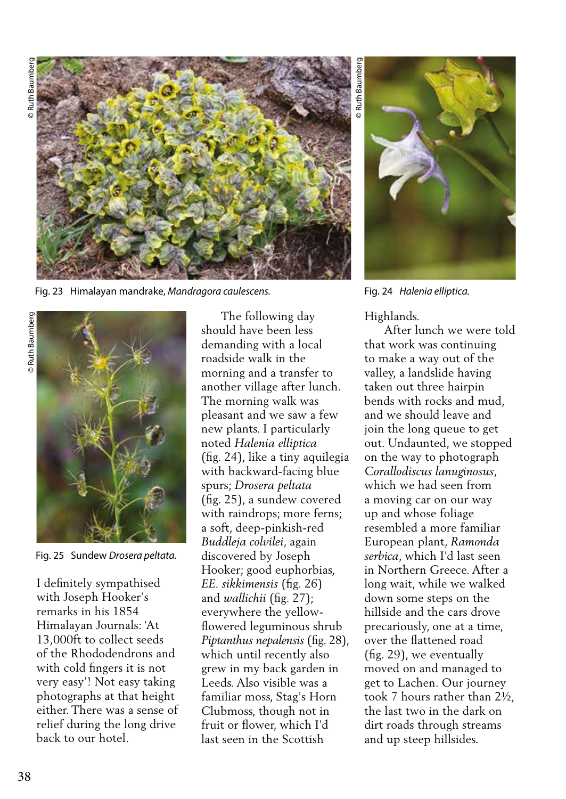![](_page_5_Picture_1.jpeg)

Fig. 23 Himalayan mandrake, *Mandragora caulescens.* Fig. 24 *Halenia elliptica.*

![](_page_5_Picture_4.jpeg)

Fig. 25 Sundew *Drosera peltata.*

I definitely sympathised with Joseph Hooker's remarks in his 1854 Himalayan Journals: 'At 13,000ft to collect seeds of the Rhododendrons and with cold fingers it is not very easy'! Not easy taking photographs at that height either. There was a sense of relief during the long drive back to our hotel.

 The following day should have been less demanding with a local roadside walk in the morning and a transfer to another village after lunch. The morning walk was pleasant and we saw a few new plants. I particularly noted *Halenia elliptica* (fig. 24), like a tiny aquilegia with backward-facing blue spurs; *Drosera peltata* (fig. 25), a sundew covered with raindrops; more ferns; a soft, deep-pinkish-red *Buddleja colvilei*, again discovered by Joseph Hooker; good euphorbias, *EE. sikkimensis* (fig. 26) and *wallichii* (fig. 27); everywhere the yellowflowered leguminous shrub *Piptanthus nepalensis* (fig. 28), which until recently also grew in my back garden in Leeds. Also visible was a familiar moss, Stag's Horn Clubmoss, though not in fruit or flower, which I'd last seen in the Scottish

© Ruth Baumberg **Ruth Baumber** 

## Highlands.

 After lunch we were told that work was continuing to make a way out of the valley, a landslide having taken out three hairpin bends with rocks and mud, and we should leave and join the long queue to get out. Undaunted, we stopped on the way to photograph *Corallodiscus lanuginosus*, which we had seen from a moving car on our way up and whose foliage resembled a more familiar European plant, *Ramonda serbica*, which I'd last seen in Northern Greece. After a long wait, while we walked down some steps on the hillside and the cars drove precariously, one at a time, over the flattened road (fig. 29), we eventually moved on and managed to get to Lachen. Our journey took 7 hours rather than 2½, the last two in the dark on dirt roads through streams and up steep hillsides.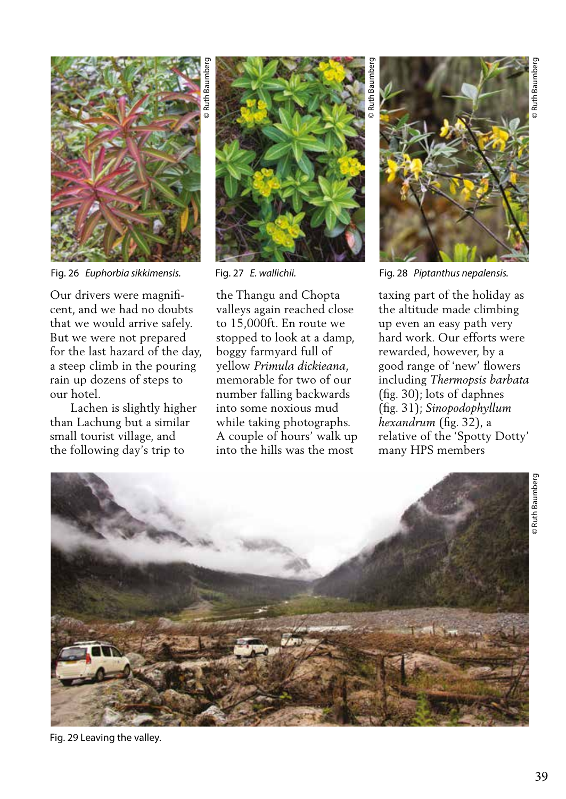![](_page_6_Picture_0.jpeg)

Fig. 26 *Euphorbia sikkimensis.* Fig. 28 *Piptanthus nepalensis.*

Our drivers were magnificent, and we had no doubts that we would arrive safely. But we were not prepared for the last hazard of the day, a steep climb in the pouring rain up dozens of steps to our hotel.

 Lachen is slightly higher than Lachung but a similar small tourist village, and the following day's trip to

![](_page_6_Picture_4.jpeg)

Fig. 27 *E. wallichii.* 

the Thangu and Chopta valleys again reached close to 15,000ft. En route we stopped to look at a damp, boggy farmyard full of yellow *Primula dickieana*, memorable for two of our number falling backwards into some noxious mud while taking photographs. A couple of hours' walk up into the hills was the most

© Ruth Baumberg © Ruth Baumberg © Ruth Baumberg © Ruth Baumberg © Ruth Baumberg © Ruth Baumberg © Ruth Baumberg © Ruth Baumberg **Buth Baumber** 

taxing part of the holiday as the altitude made climbing up even an easy path very hard work. Our efforts were rewarded, however, by a good range of 'new' flowers including *Thermopsis barbata* (fig. 30); lots of daphnes (fig. 31); *Sinopodophyllum hexandrum* (fig. 32), a relative of the 'Spotty Dotty' many HPS members

![](_page_6_Picture_10.jpeg)

Fig. 29 Leaving the valley.